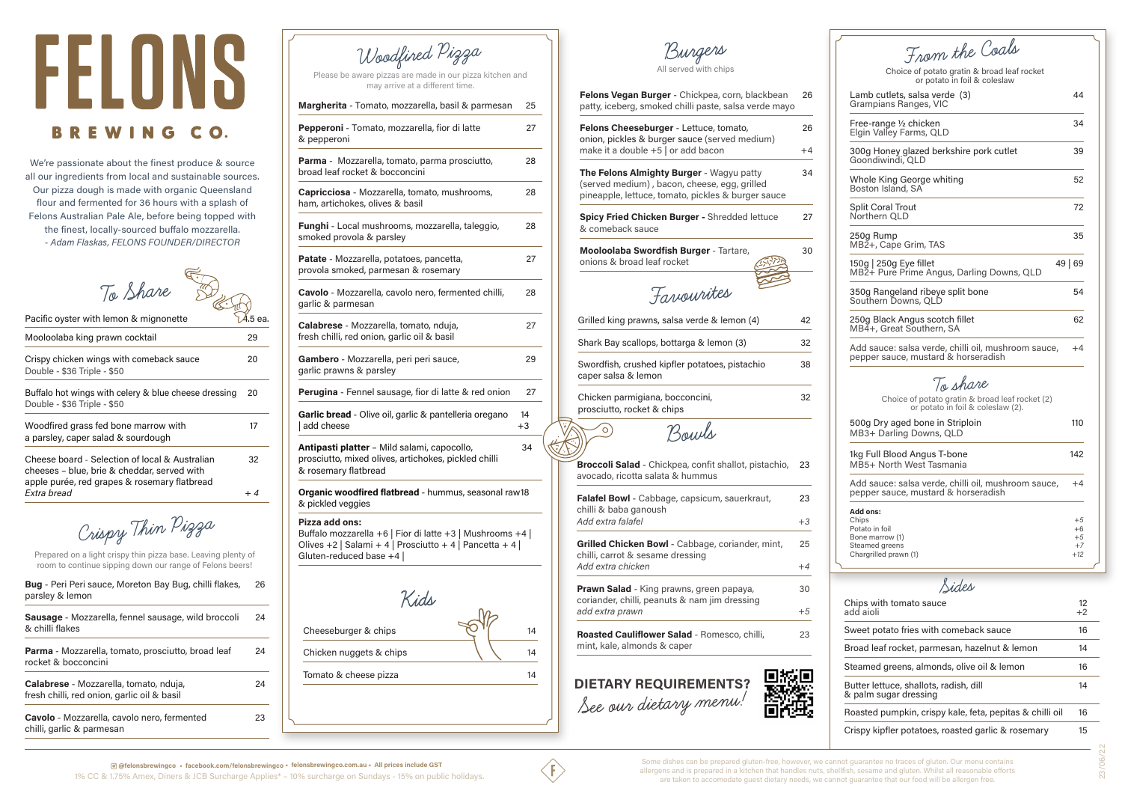

| To Share                                                                                                                                      |         |
|-----------------------------------------------------------------------------------------------------------------------------------------------|---------|
| Pacific oyster with lemon & mignonette                                                                                                        | 1.5 еа. |
| Mooloolaba king prawn cocktail                                                                                                                | 29      |
| Crispy chicken wings with comeback sauce<br>Double - \$36 Triple - \$50                                                                       | 20      |
| Buffalo hot wings with celery & blue cheese dressing<br>Double - \$36 Triple - \$50                                                           | 20      |
| Woodfired grass fed bone marrow with<br>a parsley, caper salad & sourdough                                                                    | 17      |
| Cheese board - Selection of local & Australian<br>cheeses - blue, brie & cheddar, served with<br>apple purée, red grapes & rosemary flatbread | 32      |
| Fxtra bread                                                                                                                                   | $+4$    |

| Chips with tomato sauce<br>add aioli                            | 12<br>$+2$ |
|-----------------------------------------------------------------|------------|
| Sweet potato fries with comeback sauce                          | 16         |
| Broad leaf rocket, parmesan, hazelnut & lemon                   | 14         |
| Steamed greens, almonds, olive oil & lemon                      | 16         |
| Butter lettuce, shallots, radish, dill<br>& palm sugar dressing | 14         |
| Roasted pumpkin, crispy kale, feta, pepitas & chilli oil        | 16         |
| Crispy kipfler potatoes, roasted garlic & rosemary              | 15         |

**Sides**

# FELONS **BREWING CO.**

We're passionate about the finest produce & source all our ingredients from local and sustainable sources. Our pizza dough is made with organic Queensland flour and fermented for 36 hours with a splash of Felons Australian Pale Ale, before being topped with the finest, locally-sourced buffalo mozzarella. *- Adam Flaskas, FELONS FOUNDER/DIRECTOR* 

**Burgers**

| From the Coals                                                                                    |                                     |
|---------------------------------------------------------------------------------------------------|-------------------------------------|
| Choice of potato gratin & broad leaf rocket<br>or potato in foil & coleslaw                       |                                     |
| Lamb cutlets, salsa verde (3)<br>Grampians Ranges, VIC                                            | 44                                  |
| Free-range 1/2 chicken<br>Elgin Valley Farms, QLD                                                 | 34                                  |
| 300g Honey glazed berkshire pork cutlet<br>Goondiwindi, QLD                                       | 39                                  |
| Whole King George whiting<br>Boston Island, SA                                                    | 52                                  |
| <b>Split Coral Trout</b><br>Northern QLD                                                          | 72                                  |
| 250g Rump<br>MB2+, Cape Grim, TAS                                                                 | 35                                  |
| 150g   250g Eye fillet<br>MB2+ Pure Prime Angus, Darling Downs, QLD                               | 49 69                               |
| 350g Rangeland ribeye split bone<br>Southern Downs, QLD                                           | 54                                  |
| 250g Black Angus scotch fillet<br>MB4+, Great Southern, SA                                        | 62                                  |
| Add sauce: salsa verde, chilli oil, mushroom sauce,<br>pepper sauce, mustard & horseradish        | $+4$                                |
| To share<br>Choice of potato gratin & broad leaf rocket (2)<br>or potato in foil & coleslaw (2).  |                                     |
| 500g Dry aged bone in Striploin<br>MB3+ Darling Downs, QLD                                        | 110                                 |
| 1kg Full Blood Angus T-bone<br>MB5+ North West Tasmania                                           | 142                                 |
| Add sauce: salsa verde, chilli oil, mushroom sauce,<br>pepper sauce, mustard & horseradish        | $+4$                                |
| Add ons:<br>Chips<br>Potato in foil<br>Bone marrow (1)<br>Steamed greens<br>Chargrilled prawn (1) | $+5$<br>+6<br>$+5$<br>$+7$<br>$+12$ |

All served with chips

| Felons Vegan Burger - Chickpea, corn, blackbean<br>patty, iceberg, smoked chilli paste, salsa verde mayo                                       | 26                           |
|------------------------------------------------------------------------------------------------------------------------------------------------|------------------------------|
| Felons Cheeseburger - Lettuce, tomato,<br>onion, pickles & burger sauce (served medium)<br>make it a double +5   or add bacon                  | 26<br>+4                     |
| The Felons Almighty Burger - Wagyu patty<br>(served medium), bacon, cheese, egg, grilled<br>pineapple, lettuce, tomato, pickles & burger sauce | 34                           |
| Spicy Fried Chicken Burger - Shredded lettuce<br>& comeback sauce                                                                              | 27                           |
| Mooloolaba Swordfish Burger - Tartare,<br>onions & broad leaf rocket                                                                           | 30                           |
| Favourites                                                                                                                                     |                              |
| Grilled king prawns, salsa verde & lemon (4)                                                                                                   | 42                           |
|                                                                                                                                                |                              |
| Shark Bay scallops, bottarga & lemon (3)                                                                                                       |                              |
| Swordfish, crushed kipfler potatoes, pistachio<br>caper salsa & lemon                                                                          |                              |
| Chicken parmigiana, bocconcini,<br>prosciutto, rocket & chips                                                                                  |                              |
| Bours                                                                                                                                          |                              |
| Broccoli Salad - Chickpea, confit shallot, pistachio,<br>avocado, ricotta salata & hummus                                                      | 23                           |
| Falafel Bowl - Cabbage, capsicum, sauerkraut,                                                                                                  | 23                           |
| chilli & baba ganoush<br>Add extra falafel                                                                                                     | $+3$                         |
| Grilled Chicken Bowl - Cabbage, coriander, mint,                                                                                               | 25                           |
| chilli, carrot & sesame dressing<br>Add extra chicken                                                                                          | $+4$                         |
| <b>Prawn Salad</b> - King prawns, green papaya,<br>coriander, chilli, peanuts & nam jim dressing<br>add extra prawn                            | 32<br>38<br>32<br>30<br>$+5$ |

| Woodfined Pizza<br>Please be aware pizzas are made in our pizza kitchen and                                                                                       |          |
|-------------------------------------------------------------------------------------------------------------------------------------------------------------------|----------|
| may arrive at a different time.                                                                                                                                   |          |
| Margherita - Tomato, mozzarella, basil & parmesan                                                                                                                 | 25       |
| Pepperoni - Tomato, mozzarella, fior di latte<br>& pepperoni                                                                                                      | 27       |
| Parma - Mozzarella, tomato, parma prosciutto,<br>broad leaf rocket & bocconcini                                                                                   | 28       |
| Capricciosa - Mozzarella, tomato, mushrooms,<br>ham, artichokes, olives & basil                                                                                   | 28       |
| <b>Funghi</b> - Local mushrooms, mozzarella, taleggio,<br>smoked provola & parsley                                                                                | 28       |
| Patate - Mozzarella, potatoes, pancetta,<br>provola smoked, parmesan & rosemary                                                                                   | 27       |
| Cavolo - Mozzarella, cavolo nero, fermented chilli,<br>garlic & parmesan                                                                                          | 28       |
| Calabrese - Mozzarella, tomato, nduja,<br>fresh chilli, red onion, garlic oil & basil                                                                             | 27       |
| Gambero - Mozzarella, peri peri sauce,<br>garlic prawns & parsley                                                                                                 | 29       |
| Perugina - Fennel sausage, fior di latte & red onion                                                                                                              | 27       |
| Garlic bread - Olive oil, garlic & pantelleria oregano<br>add cheese                                                                                              | 14<br>+3 |
| Antipasti platter - Mild salami, capocollo,<br>prosciutto, mixed olives, artichokes, pickled chilli<br>& rosemary flatbread                                       | 34       |
| Organic woodfired flatbread - hummus, seasonal raw18<br>& pickled veggies                                                                                         |          |
| Pizza add ons:<br>Buffalo mozzarella +6   Fior di latte +3   Mushrooms +4  <br>Olives +2   Salami + 4   Prosciutto + 4   Pancetta + 4  <br>Gluten-reduced base +4 |          |
| Kids                                                                                                                                                              |          |
| Cheeseburger & chips                                                                                                                                              | 14       |
|                                                                                                                                                                   |          |
| Chicken nuggets & chips                                                                                                                                           | 14       |
| Tomato & cheese pizza                                                                                                                                             | 14       |

| Bug - Peri Peri sauce, Moreton Bay Bug, chilli flakes, | 26 |
|--------------------------------------------------------|----|
| parsley & lemon                                        |    |

| Sausage - Mozzarella, fennel sausage, wild broccoli<br>& chilli flakes                | 24 |
|---------------------------------------------------------------------------------------|----|
| Parma - Mozzarella, tomato, prosciutto, broad leaf<br>rocket & bocconcini             | 24 |
| Calabrese - Mozzarella, tomato, nduja,<br>fresh chilli, red onion, garlic oil & basil | 24 |
| Cavolo - Mozzarella, cavolo nero, fermented<br>chilli, garlic & parmesan              | 23 |

Prepared on a light crispy thin pizza base. Leaving plenty of room to continue sipping down our range of Felons beers!

**Crispy Thin Pizza**

**See our dietary menu!**